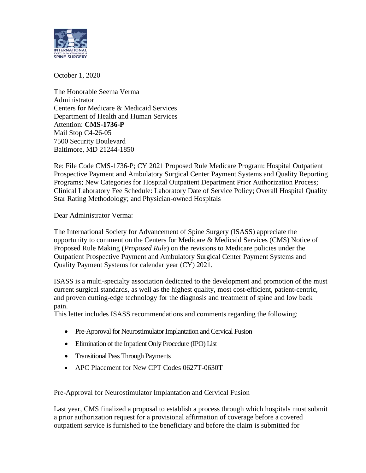

October 1, 2020

The Honorable Seema Verma Administrator Centers for Medicare & Medicaid Services Department of Health and Human Services Attention: **CMS-1736-P** Mail Stop C4-26-05 7500 Security Boulevard Baltimore, MD 21244-1850

Re: File Code CMS-1736-P; CY 2021 Proposed Rule Medicare Program: Hospital Outpatient Prospective Payment and Ambulatory Surgical Center Payment Systems and Quality Reporting Programs; New Categories for Hospital Outpatient Department Prior Authorization Process; Clinical Laboratory Fee Schedule: Laboratory Date of Service Policy; Overall Hospital Quality Star Rating Methodology; and Physician-owned Hospitals

Dear Administrator Verma:

The International Society for Advancement of Spine Surgery (ISASS) appreciate the opportunity to comment on the Centers for Medicare & Medicaid Services (CMS) Notice of Proposed Rule Making (*Proposed Rule*) on the revisions to Medicare policies under the Outpatient Prospective Payment and Ambulatory Surgical Center Payment Systems and Quality Payment Systems for calendar year (CY) 2021.

ISASS is a multi-specialty association dedicated to the development and promotion of the must current surgical standards, as well as the highest quality, most cost-efficient, patient-centric, and proven cutting-edge technology for the diagnosis and treatment of spine and low back pain.

This letter includes ISASS recommendations and comments regarding the following:

- Pre-Approval for Neurostimulator Implantation and Cervical Fusion
- Elimination of the Inpatient Only Procedure (IPO) List
- Transitional Pass Through Payments
- APC Placement for New CPT Codes 0627T-0630T

## Pre-Approval for Neurostimulator Implantation and Cervical Fusion

Last year, CMS finalized a proposal to establish a process through which hospitals must submit a prior authorization request for a provisional affirmation of coverage before a covered outpatient service is furnished to the beneficiary and before the claim is submitted for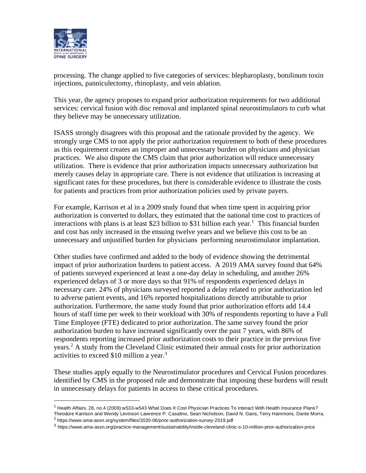

processing. The change applied to five categories of services: blepharoplasty, botulinum toxin injections, panniculectomy, rhinoplasty, and vein ablation.

This year, the agency proposes to expand prior authorization requirements for two additional services: cervical fusion with disc removal and implanted spinal neurostimulators to curb what they believe may be unnecessary utilization.

ISASS strongly disagrees with this proposal and the rationale provided by the agency. We strongly urge CMS to not apply the prior authorization requirement to both of these procedures as this requirement creates an improper and unnecessary burden on physicians and physician practices. We also dispute the CMS claim that prior authorization will reduce unnecessary utilization. There is evidence that prior authorization impacts unnecessary authorization but merely causes delay in appropriate care. There is not evidence that utilization is increasing at significant rates for these procedures, but there is considerable evidence to illustrate the costs for patients and practices from prior authorization policies used by private payers.

For example, Karrison et al in a 2009 study found that when time spent in acquiring prior authorization is converted to dollars, they estimated that the national time cost to practices of interactions with plans is at least \$23 billion to \$31 billion each year.<sup>1</sup> This financial burden and cost has only increased in the ensuing twelve years and we believe this cost to be an unnecessary and unjustified burden for physicians performing neurostimulator implantation.

Other studies have confirmed and added to the body of evidence showing the detrimental impact of prior authorization burdens to patient access. A 2019 AMA survey found that 64% of patients surveyed experienced at least a one-day delay in scheduling, and another 26% experienced delays of 3 or more days so that 91% of respondents experienced delays in necessary care. 24% of physicians surveyed reported a delay related to prior authorization led to adverse patient events, and 16% reported hospitalizations directly attributable to prior authorization. Furthermore, the same study found that prior authorization efforts add 14.4 hours of staff time per week to their workload with 30% of respondents reporting to have a Full Time Employee (FTE) dedicated to prior authorization. The same survey found the prior authorization burden to have increased significantly over the past 7 years, with 86% of respondents reporting increased prior authorization costs to their practice in the previous five years.<sup>2</sup> A study from the Cleveland Clinic estimated their annual costs for prior authorization activities to exceed \$10 million a year.<sup>3</sup>

These studies apply equally to the Neurostimulator procedures and Cervical Fusion procedures identified by CMS in the proposed rule and demonstrate that imposing these burdens will result in unnecessary delays for patients in access to these critical procedures.

 $1$  Health Affairs, 28, no.4 (2009):w533-w543 What Does It Cost Physician Practices To Interact With Health Insurance Plans? Theodore Karrison and Wendy Levinson Lawrence P. Casalino, Sean Nicholson, David N. Gans, Terry Hammons, Dante Morra,

<sup>&</sup>lt;sup>2</sup> https://www.ama-assn.org/system/files/2020-06/prior-authorization-survey-2019.pdf

<sup>3</sup> https://www.ama-assn.org/practice-management/sustainability/inside-cleveland-clinic-s-10-million-prior-authorization-price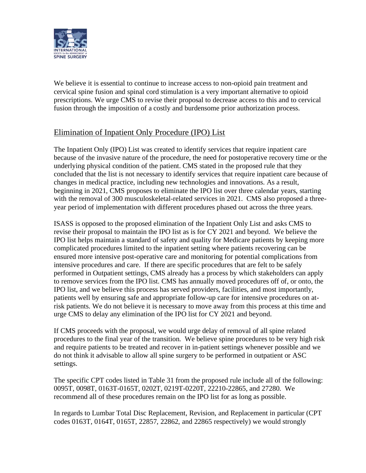

We believe it is essential to continue to increase access to non-opioid pain treatment and cervical spine fusion and spinal cord stimulation is a very important alternative to opioid prescriptions. We urge CMS to revise their proposal to decrease access to this and to cervical fusion through the imposition of a costly and burdensome prior authorization process.

## Elimination of Inpatient Only Procedure (IPO) List

The Inpatient Only (IPO) List was created to identify services that require inpatient care because of the invasive nature of the procedure, the need for postoperative recovery time or the underlying physical condition of the patient. CMS stated in the proposed rule that they concluded that the list is not necessary to identify services that require inpatient care because of changes in medical practice, including new technologies and innovations. As a result, beginning in 2021, CMS proposes to eliminate the IPO list over three calendar years, starting with the removal of 300 musculoskeletal-related services in 2021. CMS also proposed a threeyear period of implementation with different procedures phased out across the three years.

ISASS is opposed to the proposed elimination of the Inpatient Only List and asks CMS to revise their proposal to maintain the IPO list as is for CY 2021 and beyond. We believe the IPO list helps maintain a standard of safety and quality for Medicare patients by keeping more complicated procedures limited to the inpatient setting where patients recovering can be ensured more intensive post-operative care and monitoring for potential complications from intensive procedures and care. If there are specific procedures that are felt to be safely performed in Outpatient settings, CMS already has a process by which stakeholders can apply to remove services from the IPO list. CMS has annually moved procedures off of, or onto, the IPO list, and we believe this process has served providers, facilities, and most importantly, patients well by ensuring safe and appropriate follow-up care for intensive procedures on atrisk patients. We do not believe it is necessary to move away from this process at this time and urge CMS to delay any elimination of the IPO list for CY 2021 and beyond.

If CMS proceeds with the proposal, we would urge delay of removal of all spine related procedures to the final year of the transition. We believe spine procedures to be very high risk and require patients to be treated and recover in in-patient settings whenever possible and we do not think it advisable to allow all spine surgery to be performed in outpatient or ASC settings.

The specific CPT codes listed in Table 31 from the proposed rule include all of the following: 0095T, 0098T, 0163T-0165T, 0202T, 0219T-0220T, 22210-22865, and 27280. We recommend all of these procedures remain on the IPO list for as long as possible.

In regards to Lumbar Total Disc Replacement, Revision, and Replacement in particular (CPT codes 0163T, 0164T, 0165T, 22857, 22862, and 22865 respectively) we would strongly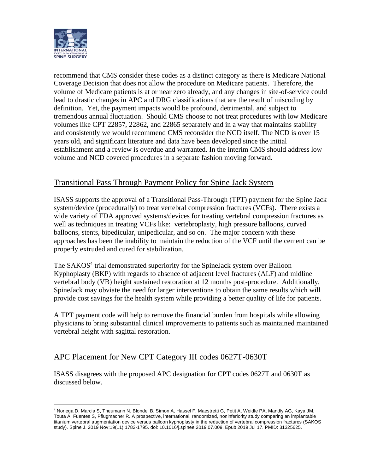

recommend that CMS consider these codes as a distinct category as there is Medicare National Coverage Decision that does not allow the procedure on Medicare patients. Therefore, the volume of Medicare patients is at or near zero already, and any changes in site-of-service could lead to drastic changes in APC and DRG classifications that are the result of miscoding by definition. Yet, the payment impacts would be profound, detrimental, and subject to tremendous annual fluctuation. Should CMS choose to not treat procedures with low Medicare volumes like CPT 22857, 22862, and 22865 separately and in a way that maintains stability and consistently we would recommend CMS reconsider the NCD itself. The NCD is over 15 years old, and significant literature and data have been developed since the initial establishment and a review is overdue and warranted. In the interim CMS should address low volume and NCD covered procedures in a separate fashion moving forward.

## Transitional Pass Through Payment Policy for Spine Jack System

ISASS supports the approval of a Transitional Pass-Through (TPT) payment for the Spine Jack system/device (procedurally) to treat vertebral compression fractures (VCFs). There exists a wide variety of FDA approved systems/devices for treating vertebral compression fractures as well as techniques in treating VCFs like: vertebroplasty, high pressure balloons, curved balloons, stents, bipedicular, unipedicular, and so on. The major concern with these approaches has been the inability to maintain the reduction of the VCF until the cement can be properly extruded and cured for stabilization.

The SAKOS<sup>4</sup> trial demonstrated superiority for the SpineJack system over Balloon Kyphoplasty (BKP) with regards to absence of adjacent level fractures (ALF) and midline vertebral body (VB) height sustained restoration at 12 months post-procedure. Additionally, SpineJack may obviate the need for larger interventions to obtain the same results which will provide cost savings for the health system while providing a better quality of life for patients.

A TPT payment code will help to remove the financial burden from hospitals while allowing physicians to bring substantial clinical improvements to patients such as maintained maintained vertebral height with sagittal restoration.

## APC Placement for New CPT Category III codes 0627T-0630T

ISASS disagrees with the proposed APC designation for CPT codes 0627T and 0630T as discussed below.

<sup>4</sup> Noriega D, Marcia S, Theumann N, Blondel B, Simon A, Hassel F, Maestretti G, Petit A, Weidle PA, Mandly AG, Kaya JM, Touta A, Fuentes S, Pflugmacher R. A prospective, international, randomized, noninferiority study comparing an implantable titanium vertebral augmentation device versus balloon kyphoplasty in the reduction of vertebral compression fractures (SAKOS study). Spine J. 2019 Nov;19(11):1782-1795. doi: 10.1016/j.spinee.2019.07.009. Epub 2019 Jul 17. PMID: 31325625.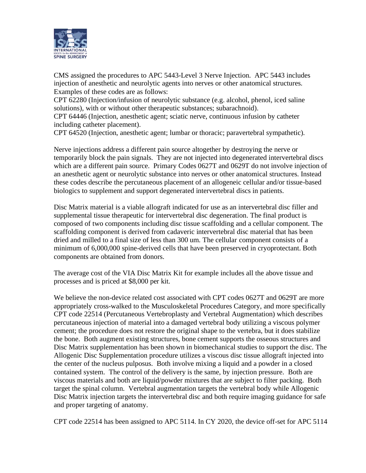

CMS assigned the procedures to APC 5443-Level 3 Nerve Injection. APC 5443 includes injection of anesthetic and neurolytic agents into nerves or other anatomical structures. Examples of these codes are as follows:

CPT 62280 (Injection/infusion of neurolytic substance (e.g. alcohol, phenol, iced saline solutions), with or without other therapeutic substances; subarachnoid).

CPT 64446 (Injection, anesthetic agent; sciatic nerve, continuous infusion by catheter including catheter placement).

CPT 64520 (Injection, anesthetic agent; lumbar or thoracic; paravertebral sympathetic).

Nerve injections address a different pain source altogether by destroying the nerve or temporarily block the pain signals. They are not injected into degenerated intervertebral discs which are a different pain source. Primary Codes 0627T and 0629T do not involve injection of an anesthetic agent or neurolytic substance into nerves or other anatomical structures. Instead these codes describe the percutaneous placement of an allogeneic cellular and/or tissue-based biologics to supplement and support degenerated intervertebral discs in patients.

Disc Matrix material is a viable allograft indicated for use as an intervertebral disc filler and supplemental tissue therapeutic for intervertebral disc degeneration. The final product is composed of two components including disc tissue scaffolding and a cellular component. The scaffolding component is derived from cadaveric intervertebral disc material that has been dried and milled to a final size of less than 300 um. The cellular component consists of a minimum of 6,000,000 spine-derived cells that have been preserved in cryoprotectant. Both components are obtained from donors.

The average cost of the VIA Disc Matrix Kit for example includes all the above tissue and processes and is priced at \$8,000 per kit.

We believe the non-device related cost associated with CPT codes 0627T and 0629T are more appropriately cross-walked to the Musculoskeletal Procedures Category, and more specifically CPT code 22514 (Percutaneous Vertebroplasty and Vertebral Augmentation) which describes percutaneous injection of material into a damaged vertebral body utilizing a viscous polymer cement; the procedure does not restore the original shape to the vertebra, but it does stabilize the bone. Both augment existing structures, bone cement supports the osseous structures and Disc Matrix supplementation has been shown in biomechanical studies to support the disc. The Allogenic Disc Supplementation procedure utilizes a viscous disc tissue allograft injected into the center of the nucleus pulposus. Both involve mixing a liquid and a powder in a closed contained system. The control of the delivery is the same, by injection pressure. Both are viscous materials and both are liquid/powder mixtures that are subject to filter packing. Both target the spinal column. Vertebral augmentation targets the vertebral body while Allogenic Disc Matrix injection targets the intervertebral disc and both require imaging guidance for safe and proper targeting of anatomy.

CPT code 22514 has been assigned to APC 5114. In CY 2020, the device off-set for APC 5114